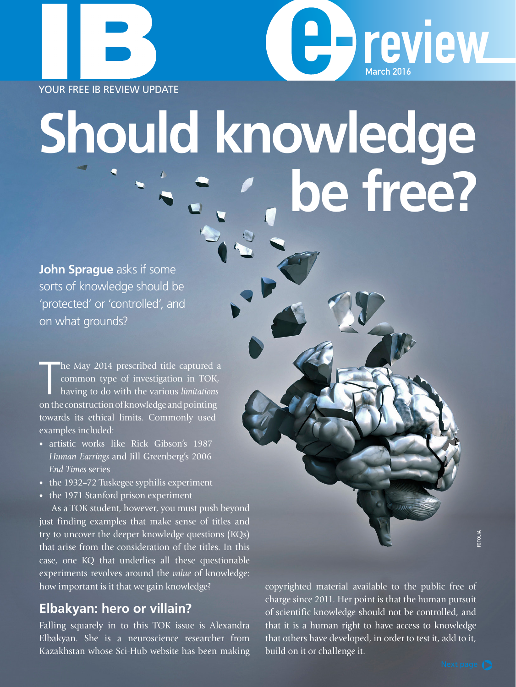YOUR FREE IB REVIEW UPDATE

# **Should knowledge be free?**

**John Sprague** asks if some sorts of knowledge should be 'protected' or 'controlled', and on what grounds?

The May 2014 prescribed title captured a common type of investigation in TOK, having to do with the various *limitations* on the construction of knowledge and pointing he May 2014 prescribed title captured a common type of investigation in TOK, having to do with the various *limitations*  towards its ethical limits. Commonly used examples included:

- artistic works like Rick Gibson's 1987 *Human Earrings* and Jill Greenberg's 2006 *End Times* series
- the 1932–72 Tuskegee syphilis experiment
- the 1971 Stanford prison experiment

As a TOK student, however, you must push beyond just finding examples that make sense of titles and try to uncover the deeper knowledge questions (KQs) that arise from the consideration of the titles. In this case, one KQ that underlies all these questionable experiments revolves around the *value* of knowledge: how important is it that we gain knowledge?

#### **Elbakyan: hero or villain?**

Falling squarely in to this TOK issue is Alexandra Elbakyan. She is a neuroscience researcher from Kazakhstan whose Sci-Hub website has been making copyrighted material available to the public free of charge since 2011. Her point is that the human pursuit of scientific knowledge should not be controlled, and that it is a human right to have access to knowledge that others have developed, in order to test it, add to it, build on it or challenge it.

**C**hreview

March 2016